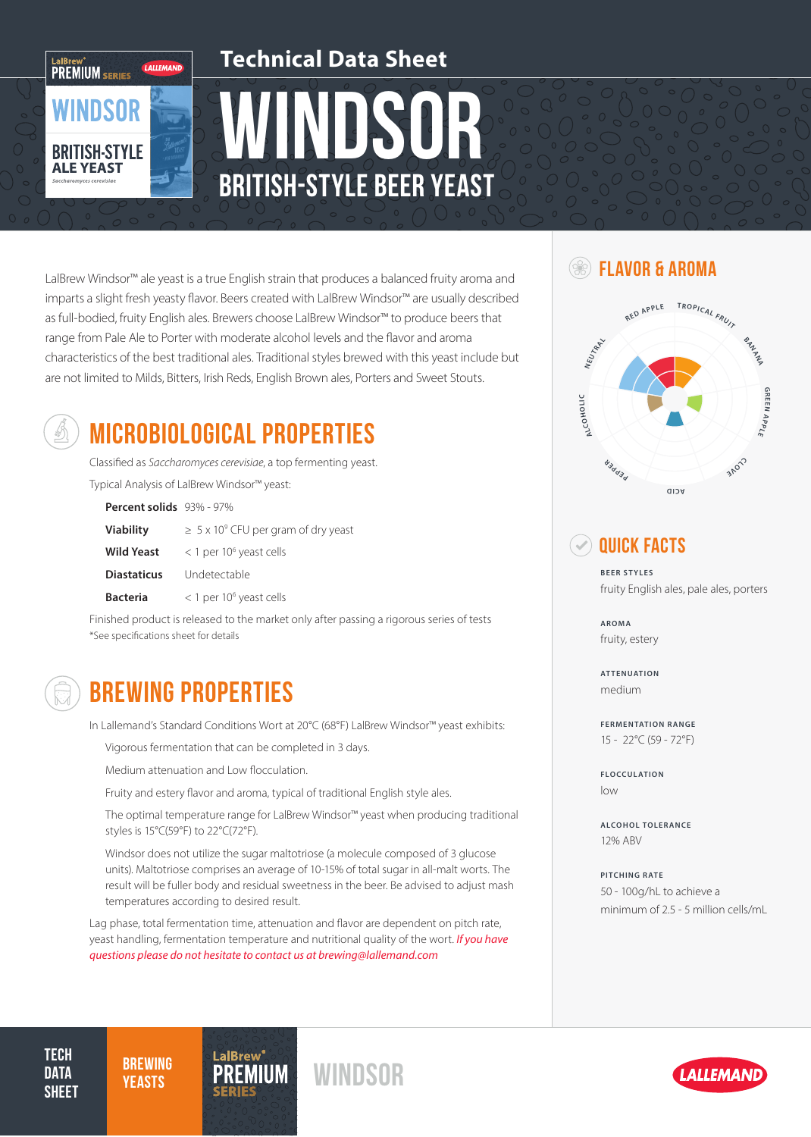

LalBrew Windsor™ ale yeast is a true English strain that produces a balanced fruity aroma and  $\text{EVALU}$  FLAVOR & AROMA imparts a slight fresh yeasty flavor. Beers created with LalBrew Windsor™ are usually described as full-bodied, fruity English ales. Brewers choose LalBrew Windsor™ to produce beers that range from Pale Ale to Porter with moderate alcohol levels and the flavor and aroma characteristics of the best traditional ales. Traditional styles brewed with this yeast include but are not limited to Milds, Bitters, Irish Reds, English Brown ales, Porters and Sweet Stouts.



# MICROBIOLOGICAL PROPERTIES

Classified as *Saccharomyces cerevisiae*, a top fermenting yeast. Typical Analysis of LalBrew Windsor™ yeast:

| <b>Percent solids</b> $93\% - 97\%$ |                                                |
|-------------------------------------|------------------------------------------------|
| <b>Viability</b>                    | $\geq 5 \times 10^9$ CFU per gram of dry yeast |
| <b>Wild Yeast</b>                   | $<$ 1 per 10 <sup>6</sup> yeast cells          |
| <b>Diastaticus</b>                  | Undetectable                                   |
| <b>Bacteria</b>                     | < 1 per 10 <sup>6</sup> yeast cells            |

Finished product is released to the market only after passing a rigorous series of tests \*See specifications sheet for details

### BREWING PROPERTIES

In Lallemand's Standard Conditions Wort at 20°C (68°F) LalBrew Windsor™ yeast exhibits:

Vigorous fermentation that can be completed in 3 days.

Medium attenuation and Low flocculation.

Fruity and estery flavor and aroma, typical of traditional English style ales.

The optimal temperature range for LalBrew Windsor™ yeast when producing traditional styles is 15°C(59°F) to 22°C(72°F).

Windsor does not utilize the sugar maltotriose (a molecule composed of 3 glucose units). Maltotriose comprises an average of 10-15% of total sugar in all-malt worts. The result will be fuller body and residual sweetness in the beer. Be advised to adjust mash temperatures according to desired result.

Lag phase, total fermentation time, attenuation and flavor are dependent on pitch rate, yeast handling, fermentation temperature and nutritional quality of the wort. *If you have questions please do not hesitate to contact us at brewing@lallemand.com*



### $\blacktriangleright$  quick facts

**BEER STYLES** fruity English ales, pale ales, porters

**AROMA** fruity, estery

**ATTENUATION** medium

**FERMENTATION RANGE** 15 - 22°C (59 - 72°F)

**FLOCCULATION** low

**ALCOHOL TOLERANCE** 12% ABV

**PITCHING RATE** 50 - 100g/hL to achieve a minimum of 2.5 - 5 million cells/mL

**TECH DATA SHEET** 

**BREWING**